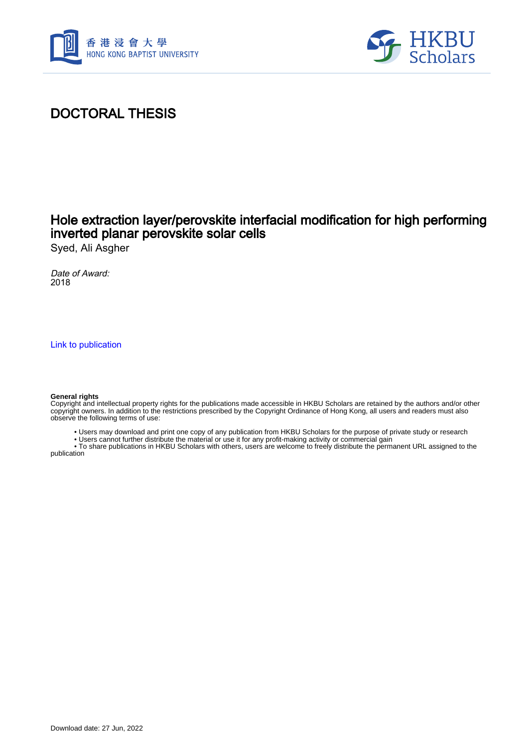



## DOCTORAL THESIS

### Hole extraction layer/perovskite interfacial modification for high performing inverted planar perovskite solar cells

Syed, Ali Asgher

Date of Award: 2018

[Link to publication](https://scholars.hkbu.edu.hk/en/studentTheses/27535264-f9fb-4f92-9f83-4498656dbe81)

#### **General rights**

Copyright and intellectual property rights for the publications made accessible in HKBU Scholars are retained by the authors and/or other copyright owners. In addition to the restrictions prescribed by the Copyright Ordinance of Hong Kong, all users and readers must also observe the following terms of use:

- Users may download and print one copy of any publication from HKBU Scholars for the purpose of private study or research
- Users cannot further distribute the material or use it for any profit-making activity or commercial gain

 • To share publications in HKBU Scholars with others, users are welcome to freely distribute the permanent URL assigned to the publication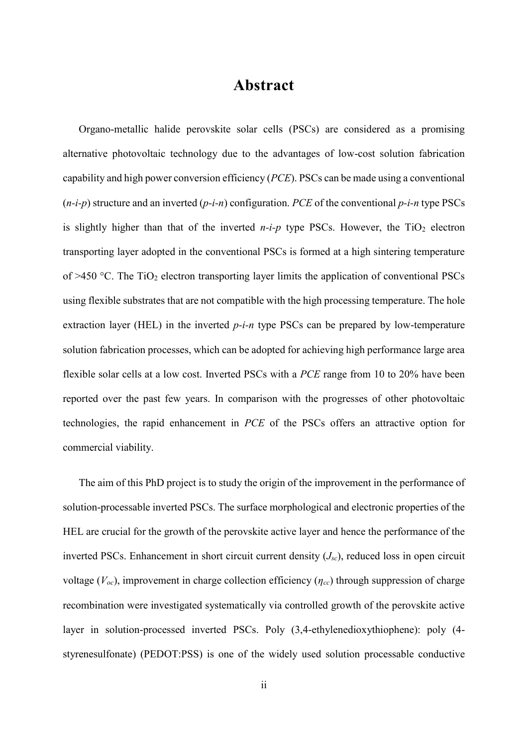### **Abstract**

<span id="page-1-0"></span>Organo-metallic halide perovskite solar cells (PSCs) are considered as a promising alternative photovoltaic technology due to the advantages of low-cost solution fabrication capability and high power conversion efficiency (*PCE*). PSCs can be made using a conventional (*n-i-p*) structure and an inverted (*p-i-n*) configuration. *PCE* of the conventional *p-i-n* type PSCs is slightly higher than that of the inverted  $n-i-p$  type PSCs. However, the  $TiO<sub>2</sub>$  electron transporting layer adopted in the conventional PSCs is formed at a high sintering temperature of  $>450$  °C. The TiO<sub>2</sub> electron transporting layer limits the application of conventional PSCs using flexible substrates that are not compatible with the high processing temperature. The hole extraction layer (HEL) in the inverted *p-i-n* type PSCs can be prepared by low-temperature solution fabrication processes, which can be adopted for achieving high performance large area flexible solar cells at a low cost. Inverted PSCs with a *PCE* range from 10 to 20% have been reported over the past few years. In comparison with the progresses of other photovoltaic technologies, the rapid enhancement in *PCE* of the PSCs offers an attractive option for commercial viability.

The aim of this PhD project is to study the origin of the improvement in the performance of solution-processable inverted PSCs. The surface morphological and electronic properties of the HEL are crucial for the growth of the perovskite active layer and hence the performance of the inverted PSCs. Enhancement in short circuit current density (*Jsc*), reduced loss in open circuit voltage (*Voc*), improvement in charge collection efficiency (*ηcc*) through suppression of charge recombination were investigated systematically via controlled growth of the perovskite active layer in solution-processed inverted PSCs. Poly (3,4-ethylenedioxythiophene): poly (4 styrenesulfonate) (PEDOT:PSS) is one of the widely used solution processable conductive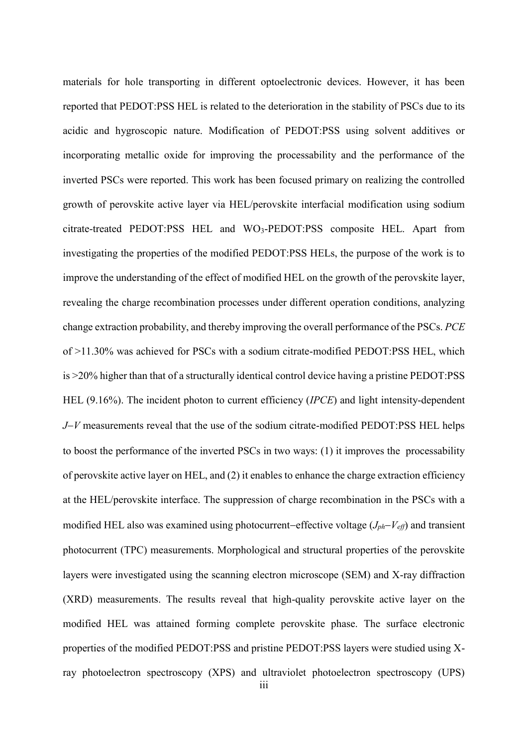materials for hole transporting in different optoelectronic devices. However, it has been reported that PEDOT:PSS HEL is related to the deterioration in the stability of PSCs due to its acidic and hygroscopic nature. Modification of PEDOT:PSS using solvent additives or incorporating metallic oxide for improving the processability and the performance of the inverted PSCs were reported. This work has been focused primary on realizing the controlled growth of perovskite active layer via HEL/perovskite interfacial modification using sodium citrate-treated PEDOT:PSS HEL and WO3-PEDOT:PSS composite HEL. Apart from investigating the properties of the modified PEDOT:PSS HELs, the purpose of the work is to improve the understanding of the effect of modified HEL on the growth of the perovskite layer, revealing the charge recombination processes under different operation conditions, analyzing change extraction probability, and thereby improving the overall performance of the PSCs. *PCE* of >11.30% was achieved for PSCs with a sodium citrate-modified PEDOT:PSS HEL, which is >20% higher than that of a structurally identical control device having a pristine PEDOT:PSS HEL (9.16%). The incident photon to current efficiency (*IPCE*) and light intensity-dependent *J*−*V* measurements reveal that the use of the sodium citrate-modified PEDOT:PSS HEL helps to boost the performance of the inverted PSCs in two ways: (1) it improves the processability of perovskite active layer on HEL, and (2) it enables to enhance the charge extraction efficiency at the HEL/perovskite interface. The suppression of charge recombination in the PSCs with a modified HEL also was examined using photocurrent−effective voltage (*Jph*−*Veff*) and transient photocurrent (TPC) measurements. Morphological and structural properties of the perovskite layers were investigated using the scanning electron microscope (SEM) and X-ray diffraction (XRD) measurements. The results reveal that high-quality perovskite active layer on the modified HEL was attained forming complete perovskite phase. The surface electronic properties of the modified PEDOT:PSS and pristine PEDOT:PSS layers were studied using Xray photoelectron spectroscopy (XPS) and ultraviolet photoelectron spectroscopy (UPS)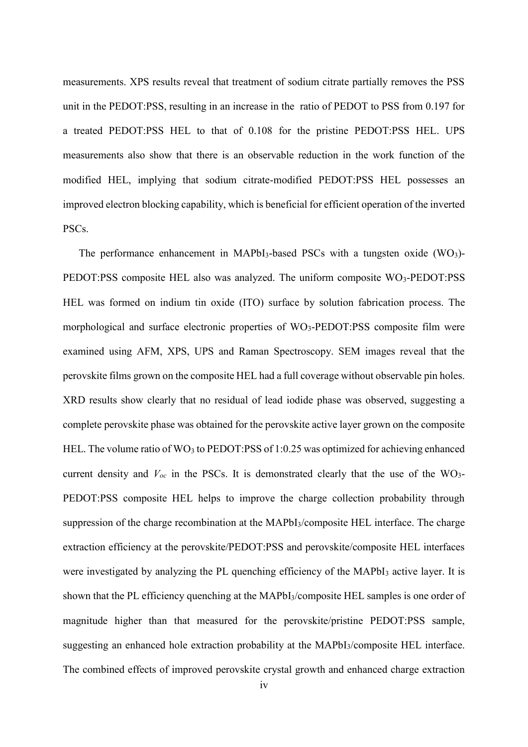measurements. XPS results reveal that treatment of sodium citrate partially removes the PSS unit in the PEDOT:PSS, resulting in an increase in the ratio of PEDOT to PSS from 0.197 for a treated PEDOT:PSS HEL to that of 0.108 for the pristine PEDOT:PSS HEL. UPS measurements also show that there is an observable reduction in the work function of the modified HEL, implying that sodium citrate-modified PEDOT:PSS HEL possesses an improved electron blocking capability, which is beneficial for efficient operation of the inverted PSCs.

The performance enhancement in MAPbI<sub>3</sub>-based PSCs with a tungsten oxide  $(WO<sub>3</sub>)$ -PEDOT:PSS composite HEL also was analyzed. The uniform composite WO<sub>3</sub>-PEDOT:PSS HEL was formed on indium tin oxide (ITO) surface by solution fabrication process. The morphological and surface electronic properties of  $WO_3$ -PEDOT:PSS composite film were examined using AFM, XPS, UPS and Raman Spectroscopy. SEM images reveal that the perovskite films grown on the composite HEL had a full coverage without observable pin holes. XRD results show clearly that no residual of lead iodide phase was observed, suggesting a complete perovskite phase was obtained for the perovskite active layer grown on the composite HEL. The volume ratio of WO<sub>3</sub> to PEDOT:PSS of 1:0.25 was optimized for achieving enhanced current density and  $V_{oc}$  in the PSCs. It is demonstrated clearly that the use of the WO<sub>3</sub>-PEDOT:PSS composite HEL helps to improve the charge collection probability through suppression of the charge recombination at the MAPbI3/composite HEL interface. The charge extraction efficiency at the perovskite/PEDOT:PSS and perovskite/composite HEL interfaces were investigated by analyzing the PL quenching efficiency of the MAPbI<sub>3</sub> active layer. It is shown that the PL efficiency quenching at the MAPbI3/composite HEL samples is one order of magnitude higher than that measured for the perovskite/pristine PEDOT:PSS sample, suggesting an enhanced hole extraction probability at the MAPbI3/composite HEL interface. The combined effects of improved perovskite crystal growth and enhanced charge extraction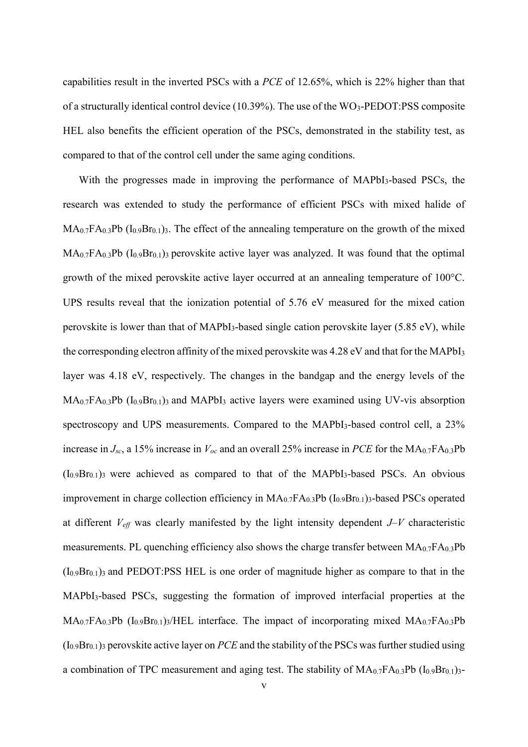capabilities result in the inverted PSCs with a *PCE* of 12.65%, which is 22% higher than that of a structurally identical control device  $(10.39\%)$ . The use of the WO<sub>3</sub>-PEDOT:PSS composite HEL also benefits the efficient operation of the PSCs, demonstrated in the stability test, as compared to that of the control cell under the same aging conditions.

With the progresses made in improving the performance of MAPbI<sub>3</sub>-based PSCs, the research was extended to study the performance of efficient PSCs with mixed halide of  $MA<sub>0.7</sub>FA<sub>0.3</sub>Pb (I<sub>0.9</sub>Br<sub>0.1</sub>)<sub>3</sub>$ . The effect of the annealing temperature on the growth of the mixed  $MA<sub>0.7</sub>FA<sub>0.3</sub>Pb (I<sub>0.9</sub>Br<sub>0.1</sub>)<sub>3</sub> perovskite active layer was analyzed. It was found that the optimal$ growth of the mixed perovskite active layer occurred at an annealing temperature of 100°C. UPS results reveal that the ionization potential of 5.76 eV measured for the mixed cation perovskite is lower than that of MAPbI3-based single cation perovskite layer (5.85 eV), while the corresponding electron affinity of the mixed perovskite was 4.28 eV and that for the MAPbI<sup>3</sup> layer was 4.18 eV, respectively. The changes in the bandgap and the energy levels of the  $MA<sub>0.7</sub>FA<sub>0.3</sub>Pb$  ( $I<sub>0.9</sub>Br<sub>0.1</sub>$ ) and MAPbI<sub>3</sub> active layers were examined using UV-vis absorption spectroscopy and UPS measurements. Compared to the MAPbI<sub>3</sub>-based control cell, a 23% increase in  $J_{sc}$ , a 15% increase in  $V_{oc}$  and an overall 25% increase in *PCE* for the  $MA_{0.7}FA_{0.3}Pb$  $(I<sub>0.9</sub>Br<sub>0.1</sub>)$ <sub>3</sub> were achieved as compared to that of the MAPbI<sub>3</sub>-based PSCs. An obvious improvement in charge collection efficiency in  $MA_{0.7}FA_{0.3}Pb (I_{0.9}Br_{0.1})_3$ -based PSCs operated at different  $V_{\text{eff}}$  was clearly manifested by the light intensity dependent  $J-V$  characteristic measurements. PL quenching efficiency also shows the charge transfer between  $MA_{0.7}FA_{0.3}Pb$  $(I_{0.9}Br_{0.1})_3$  and PEDOT:PSS HEL is one order of magnitude higher as compare to that in the MAPbI3-based PSCs, suggesting the formation of improved interfacial properties at the  $MA<sub>0.7</sub>FA<sub>0.3</sub>Pb$  (I<sub>0.9</sub>Br<sub>0.1</sub>)<sub>3</sub>/HEL interface. The impact of incorporating mixed  $MA<sub>0.7</sub>FA<sub>0.3</sub>Pb$ (I0.9Br0.1)<sup>3</sup> perovskite active layer on *PCE* and the stability of the PSCs was further studied using a combination of TPC measurement and aging test. The stability of  $MA_{0.7}FA_{0.3}Pb (I_{0.9}Br_{0.1})$ 3-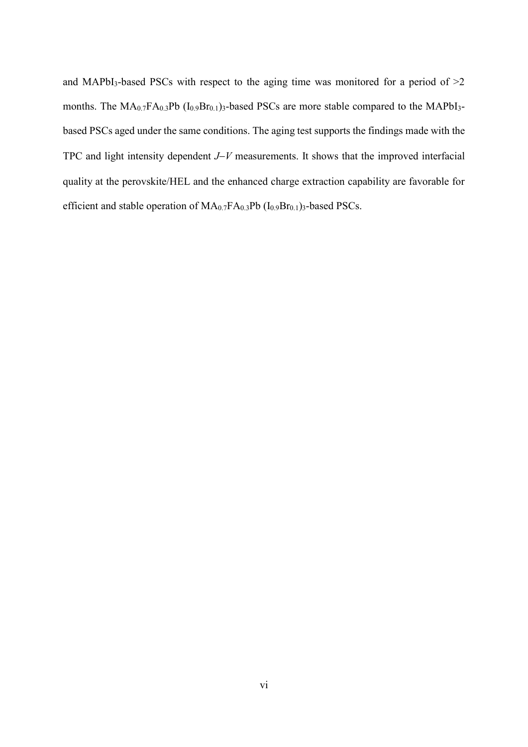and MAPbI<sub>3</sub>-based PSCs with respect to the aging time was monitored for a period of  $>2$ months. The  $MA_{0.7}FA_{0.3}Pb (I_{0.9}Br_{0.1})_3$ -based PSCs are more stable compared to the MAPbI<sub>3</sub>based PSCs aged under the same conditions. The aging test supports the findings made with the TPC and light intensity dependent *J*−*V* measurements. It shows that the improved interfacial quality at the perovskite/HEL and the enhanced charge extraction capability are favorable for efficient and stable operation of MA<sub>0.7</sub>FA<sub>0.3</sub>Pb (I<sub>0.9</sub>Br<sub>0.1</sub>)<sub>3</sub>-based PSCs.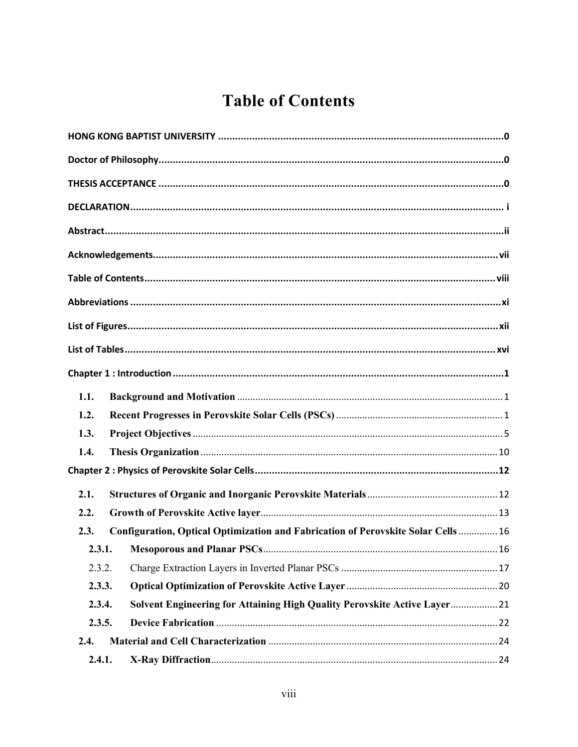# <span id="page-6-0"></span>**Table of Contents**

| 1.1.   |                                                                                  |    |
|--------|----------------------------------------------------------------------------------|----|
| 1.2.   |                                                                                  |    |
| 1.3.   |                                                                                  |    |
| 1.4.   |                                                                                  |    |
|        |                                                                                  |    |
| 2.1.   |                                                                                  |    |
| 2.2.   |                                                                                  |    |
| 2.3.   | Configuration, Optical Optimization and Fabrication of Perovskite Solar Cells 16 |    |
|        |                                                                                  | 16 |
| 2.3.2. |                                                                                  |    |
| 2.3.3. |                                                                                  |    |
| 2.3.4. | Solvent Engineering for Attaining High Quality Perovskite Active Layer 21        |    |
| 2.3.5. |                                                                                  |    |
| 2.4.   |                                                                                  |    |
| 2.4.1. |                                                                                  |    |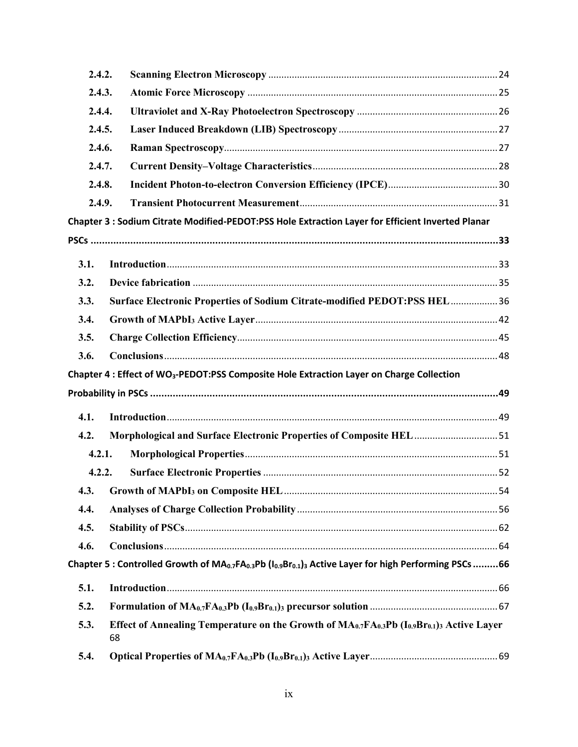| 2.4.2. |                                                                                                                                                                     |  |
|--------|---------------------------------------------------------------------------------------------------------------------------------------------------------------------|--|
| 2.4.3. |                                                                                                                                                                     |  |
| 2.4.4. |                                                                                                                                                                     |  |
| 2.4.5. |                                                                                                                                                                     |  |
| 2.4.6. |                                                                                                                                                                     |  |
| 2.4.7. |                                                                                                                                                                     |  |
| 2.4.8. |                                                                                                                                                                     |  |
| 2.4.9. |                                                                                                                                                                     |  |
|        | Chapter 3 : Sodium Citrate Modified-PEDOT:PSS Hole Extraction Layer for Efficient Inverted Planar                                                                   |  |
|        |                                                                                                                                                                     |  |
| 3.1.   |                                                                                                                                                                     |  |
| 3.2.   |                                                                                                                                                                     |  |
| 3.3.   | Surface Electronic Properties of Sodium Citrate-modified PEDOT:PSS HEL 36                                                                                           |  |
| 3.4.   |                                                                                                                                                                     |  |
| 3.5.   |                                                                                                                                                                     |  |
| 3.6.   |                                                                                                                                                                     |  |
|        |                                                                                                                                                                     |  |
|        |                                                                                                                                                                     |  |
|        | Chapter 4 : Effect of WO <sub>3</sub> -PEDOT:PSS Composite Hole Extraction Layer on Charge Collection                                                               |  |
|        |                                                                                                                                                                     |  |
| 4.1.   |                                                                                                                                                                     |  |
| 4.2.   | Morphological and Surface Electronic Properties of Composite HEL 51                                                                                                 |  |
| 4.2.1. |                                                                                                                                                                     |  |
| 4.2.2. |                                                                                                                                                                     |  |
|        |                                                                                                                                                                     |  |
| 4.4.   |                                                                                                                                                                     |  |
| 4.5.   |                                                                                                                                                                     |  |
| 4.6.   |                                                                                                                                                                     |  |
|        | Chapter 5 : Controlled Growth of MA <sub>0.7</sub> FA <sub>0.3</sub> Pb (I <sub>0.9</sub> Br <sub>0.1</sub> ) <sub>3</sub> Active Layer for high Performing PSCs 66 |  |
| 5.1.   |                                                                                                                                                                     |  |
| 5.2.   |                                                                                                                                                                     |  |
| 5.3.   | Effect of Annealing Temperature on the Growth of $MA_{0.7}FA_{0.3}Pb (I_{0.9}Br_{0.1})$ Active Layer<br>68                                                          |  |